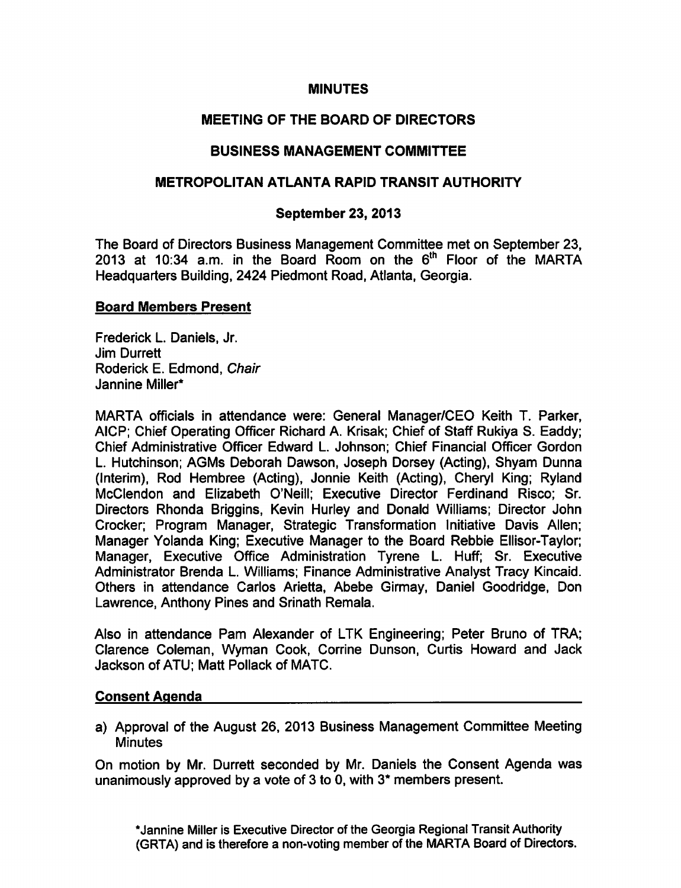## **MINUTES**

# MEETING OF THE BOARD OF DIRECTORS

# BUSINESS MANAGEMENT COMMITTEE

# METROPOLITAN ATLANTA RAPID TRANSIT AUTHORITY

## September 23, 2013

The Board of Directors Business Management Committee met on September 23, 2013 at 10:34 a.m. in the Board Room on the  $6<sup>th</sup>$  Floor of the MARTA Headquarters Building, 2424 Piedmont Road, Atlanta, Georgia.

### Board Members Present

Frederick L. Daniels, Jr. Jim Durrett Roderick E. Edmond, Chair Jannine Miller\*

MARTA officials in attendance were: General Manager/CEO Keith T. Parker, AICP; Chief Operating Officer Richard A. Krisak; Chief of Staff Rukiya S. Eaddy; Chief Administrative Officer Edward L. Johnson; Chief Financial Officer Gordon L. Hutchinson; AGMs Deborah Dawson, Joseph Dorsey (Acting), Shyam Dunna (Interim), Rod Hembree (Acting), Jonnie Keith (Acting), Cheryl King; Ryland McClendon and Elizabeth O'Neill; Executive Director Ferdinand Risco; Sr. Directors Rhonda Briggins, Kevin Hurley and Donald Williams; Director John Crocker; Program Manager, Strategic Transformation Initiative Davis Allen; Manager Yolanda King; Executive Manager to the Board Rebbie Ellisor-Taylor; Manager, Executive Office Administration Tyrene L. Huff; Sr. Executive Administrator Brenda L. Williams: Finance Administrative Analyst Tracy Kincaid. Others in attendance Carlos Arietta, Abebe Girmay, Daniel Goodridge, Don Lawrence, Anthony Pines and Srinath Remala.

Also in attendance Pam Alexander of LTK Engineering; Peter Bruno of TRA; Clarence Coleman, Wyman Cook, Corrine Dunson, Curtis Howard and Jack Jackson of ATU; Matt Pollack of MATC.

## Consent Agenda

a) Approval of the August 26, 2013 Business Management Committee Meeting **Minutes** 

On motion by Mr. Durrett seconded by Mr. Daniels the Consent Agenda was unanimously approved by a vote of 3 to 0, with  $3*$  members present.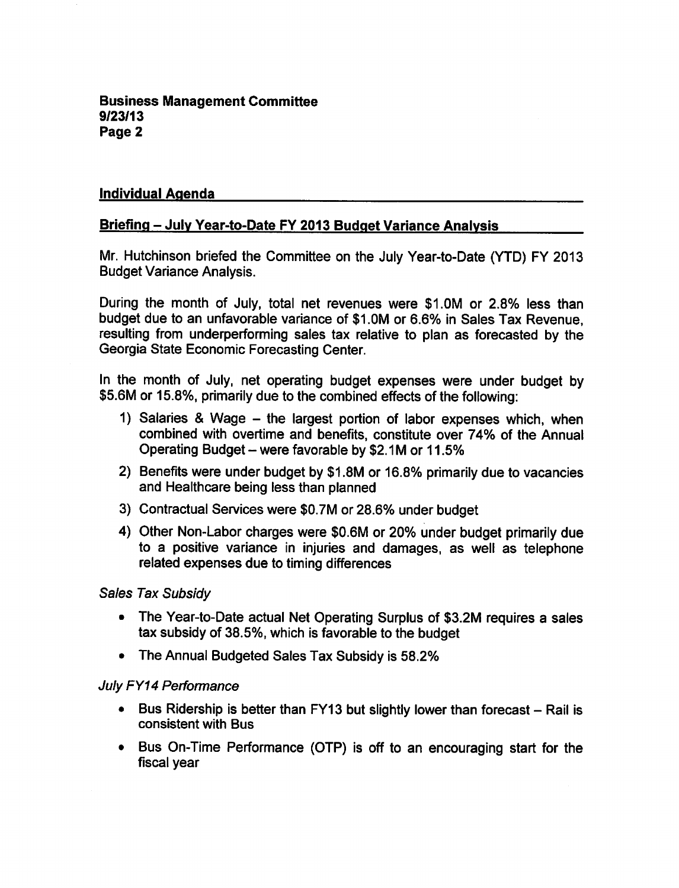### Individual Agenda

### Briefing - July Year-to-Date FY 2013 Budget Variance Analysis

Mr. Hutchinson briefed the Committee on the July Year-to-Date (YTD) FY 2013 Budget Variance Analysis.

During the month of July, total net revenues were \$1.0M or 2.8% less than budget due to an unfavorable variance of \$1.0M or 6.6% in Sales Tax Revenue, resulting from underperforming sales tax relative to plan as forecasted by the Georgia State Economic Forecasting Center.

In the month of July, net operating budget expenses were under budget by \$5.6M or 15.8%, primarily due to the combined effects of the following:

- 1) Salaries & Wage  $-$  the largest portion of labor expenses which, when combined with overtime and benefits, constitute over 74% of the Annual Operating Budget  $-$  were favorable by \$2.1M or 11.5%
- 2) Benefits were under budget by \$1.8M or 16.8% primarily due to vacancies and Healthcare being less than planned
- 3) Contractual Services were \$0.7M or 28.6% under budget
- 4) Other Non-Labor charges were \$0.6M or 20% under budget primarily due to a positive variance in injuries and damages, as well as telephone related expenses due to timing differences

#### Sales Tax Subsidy

- The Year-to-Date actual Net Operating Surplus of \$3.2M requires a sales tax subsidy of 38.5%, which is favorable to the budget
- The Annual Budgeted Sales Tax Subsidy is 58.2%

#### July FY14 Performance

- $\bullet$  Bus Ridership is better than FY13 but slightly lower than forecast Rail is consistent with Bus
- Bus On-Time Performance (OTP) is off to an encouraging start for the fiscal year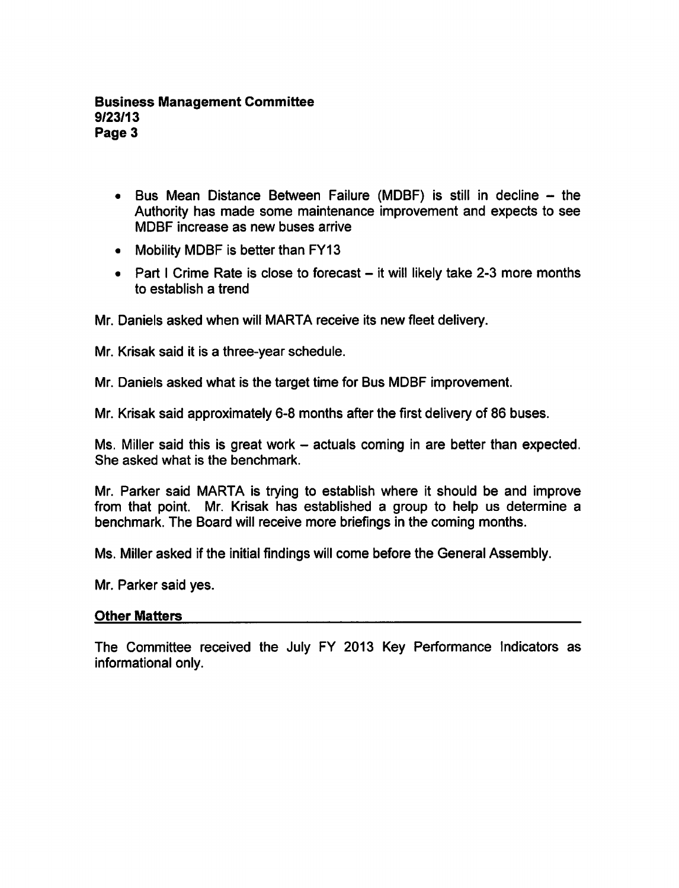### Business Management Committee 9/23/13 Page 3

- $\bullet$  Bus Mean Distance Between Failure (MDBF) is still in decline  $-$  the Authority has made some maintenance improvement and expects to see MDBF increase as new buses arrive
- Mobility MDBF is better than FY13
- Part I Crime Rate is close to forecast  $-$  it will likely take 2-3 more months to establish a trend

Mr. Daniels asked when will MARTA receive its new fleet delivery.

Mr. Krisak said it is a three-year schedule.

Mr. Daniels asked what is the target time for Bus MDBF improvement.

Mr. Krisak said approximately 6-8 months after the first delivery of 86 buses.

Ms. Miller said this is great work  $-$  actuals coming in are better than expected. She asked what is the benchmark.

Mr. Parker said MARTA is trying to establish where it should be and improve from that point. Mr. Krisak has established a group to help us determine a benchmark. The Board will receive more briefings in the coming months.

Ms. Miller asked if the initial findings will come before the General Assembly.

Mr. Parker said yes.

#### Other Matters

The Committee received the July FY 2013 Key Performance Indicators as informational only.